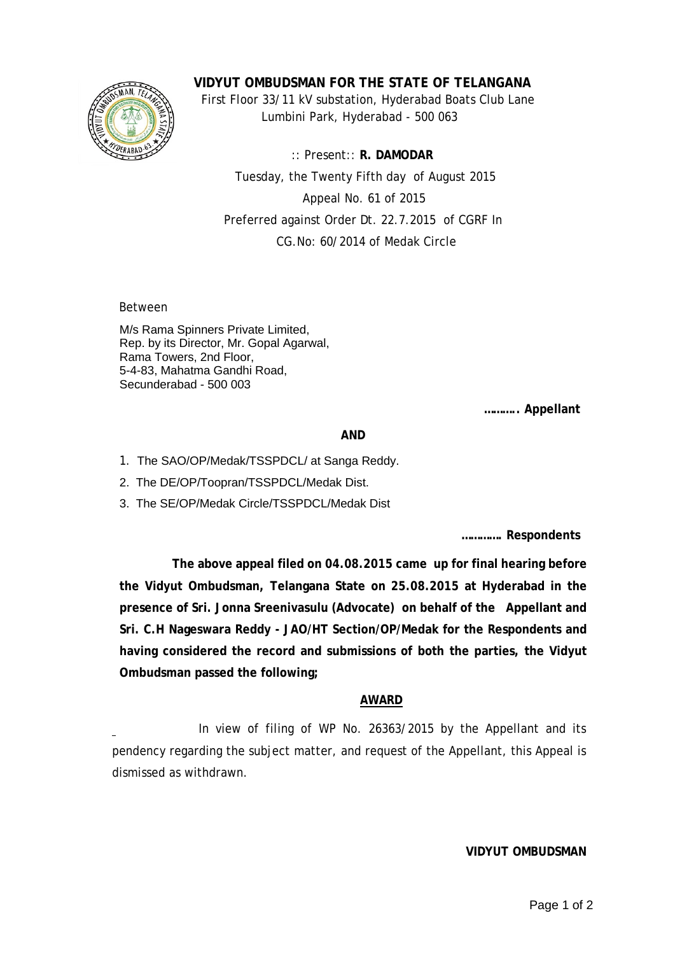

**VIDYUT OMBUDSMAN FOR THE STATE OF TELANGANA**

 First Floor 33/11 kV substation, Hyderabad Boats Club Lane Lumbini Park, Hyderabad - 500 063

 :: Present:: **R. DAMODAR** Tuesday, the Twenty Fifth day of August 2015 Appeal No. 61 of 2015 Preferred against Order Dt. 22.7.2015 of CGRF In CG.No: 60/2014 of Medak Circle

Between

M/s Rama Spinners Private Limited, Rep. by its Director, Mr. Gopal Agarwal, Rama Towers, 2nd Floor, 5-4-83, Mahatma Gandhi Road, Secunderabad - 500 003

**……….. Appellant**

## **AND**

- 1. The SAO/OP/Medak/TSSPDCL/ at Sanga Reddy.
- 2. The DE/OP/Toopran/TSSPDCL/Medak Dist.
- 3. The SE/OP/Medak Circle/TSSPDCL/Medak Dist

**…………. Respondents**

 **The above appeal filed on 04.08.2015 came up for final hearing before the Vidyut Ombudsman, Telangana State on 25.08.2015 at Hyderabad in the presence of Sri. Jonna Sreenivasulu (Advocate) on behalf of the Appellant and Sri. C.H Nageswara Reddy - JAO/HT Section/OP/Medak for the Respondents and having considered the record and submissions of both the parties, the Vidyut Ombudsman passed the following;**

## **AWARD**

 In view of filing of WP No. 26363/2015 by the Appellant and its pendency regarding the subject matter, and request of the Appellant, this Appeal is dismissed as withdrawn.

## **VIDYUT OMBUDSMAN**